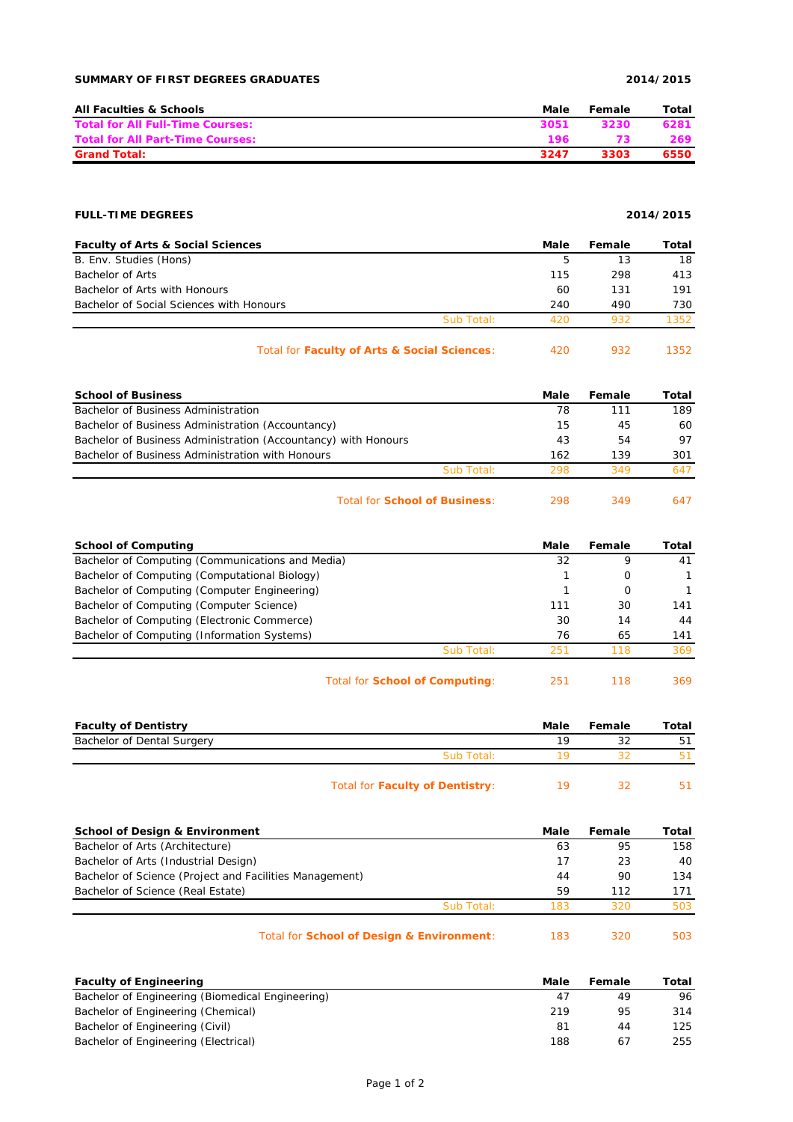### **SUMMARY OF FIRST DEGREES GRADUATES 2014/2015**

| <b>All Faculties &amp; Schools</b>      | Male | Female | Total |
|-----------------------------------------|------|--------|-------|
| <b>Total for All Full-Time Courses:</b> | 3051 | 3230   | 6281  |
| Total for All Part-Time Courses:        | 196  |        | 269   |
| <b>Grand Total:</b>                     | 3247 | 3303   | 6550  |

## **FULL-TIME DEGREES 2014/2015**

| <b>Faculty of Arts &amp; Social Sciences</b> |            | Male | Female | Total |
|----------------------------------------------|------------|------|--------|-------|
| B. Env. Studies (Hons)                       |            | 5    | 13     | 18    |
| Bachelor of Arts                             |            | 115  | 298    | 413   |
| Bachelor of Arts with Honours                |            | 60   | 131    | 191   |
| Bachelor of Social Sciences with Honours     |            | 240  | 490    | 730   |
|                                              | Sub Total: | 420  | 932    | 1352  |
|                                              |            |      |        |       |

### Total for **Faculty of Arts & Social Sciences**: 420 932 1352

| <b>School of Business</b>                                      |            | Male | Female | Total |
|----------------------------------------------------------------|------------|------|--------|-------|
| Bachelor of Business Administration                            |            | 78   | 111    | 189   |
| Bachelor of Business Administration (Accountancy)              |            | 15   | 45     | 60    |
| Bachelor of Business Administration (Accountancy) with Honours |            | 43   | 54     | 97    |
| Bachelor of Business Administration with Honours               |            | 162  | 139    | 301   |
|                                                                | Sub Total: | 298  | 349    | 647   |
|                                                                |            |      |        |       |

Total for **School of Business**: 298 349 647

| <b>School of Computing</b>                       |                                       | Male | Female | Total |
|--------------------------------------------------|---------------------------------------|------|--------|-------|
| Bachelor of Computing (Communications and Media) |                                       | 32   | 9      | 41    |
| Bachelor of Computing (Computational Biology)    |                                       |      | 0      |       |
| Bachelor of Computing (Computer Engineering)     |                                       |      | 0      |       |
| Bachelor of Computing (Computer Science)         |                                       | 111  | 30     | 141   |
| Bachelor of Computing (Electronic Commerce)      |                                       | 30   | 14     | 44    |
| Bachelor of Computing (Information Systems)      |                                       | 76   | 65     | 141   |
|                                                  | Sub Total:                            | 251  | 118    | 369   |
|                                                  | Total for <b>School of Computing:</b> | 251  | 118    | 369   |

| <b>Faculty of Dentistry</b> |            | Male | Female | Total |
|-----------------------------|------------|------|--------|-------|
| Bachelor of Dental Surgery  |            | 19   |        |       |
|                             | Sub Total: |      |        |       |
|                             |            |      |        |       |

| Total for Faculty of Dentistry: |  |  |
|---------------------------------|--|--|
|---------------------------------|--|--|

| <b>School of Design &amp; Environment</b>               |            | Male | Female | Total |
|---------------------------------------------------------|------------|------|--------|-------|
| Bachelor of Arts (Architecture)                         |            | 63   | 95     | 158   |
| Bachelor of Arts (Industrial Design)                    |            | 17   | 23     | 40    |
| Bachelor of Science (Project and Facilities Management) |            | 44   | 90     | 134   |
| Bachelor of Science (Real Estate)                       |            | 59   | 112    | 171   |
|                                                         | Sub Total: | 183  | 320    | 503   |
|                                                         |            |      |        |       |

# Total for **School of Design & Environment**: 183 320 503

| <b>Faculty of Engineering</b>                    | Male | Female | Total |
|--------------------------------------------------|------|--------|-------|
| Bachelor of Engineering (Biomedical Engineering) | 47   | 49     | 96    |
| Bachelor of Engineering (Chemical)               | 219  | 95     | 314   |
| Bachelor of Engineering (Civil)                  | 81   | 44     | 125   |
| Bachelor of Engineering (Electrical)             | 188  | 67     | 255   |